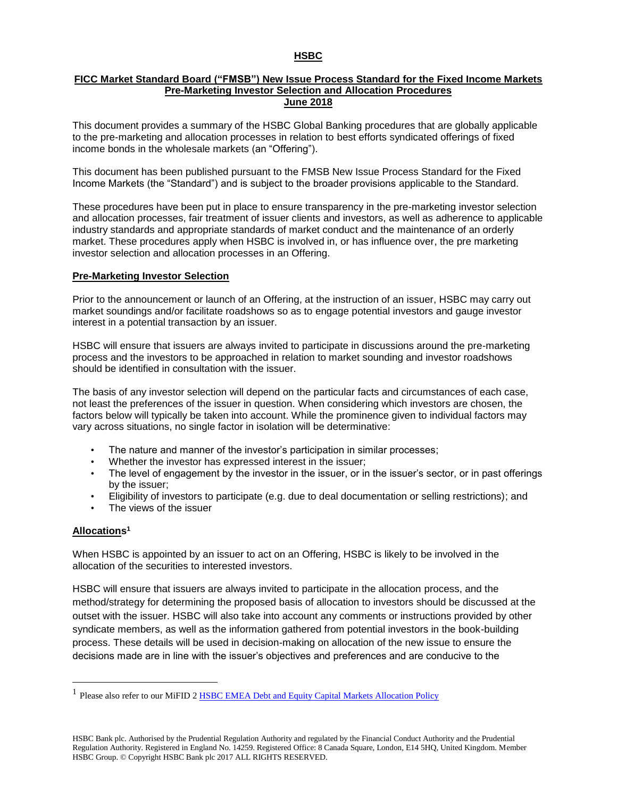## **HSBC**

## **FICC Market Standard Board ("FMSB") New Issue Process Standard for the Fixed Income Markets Pre-Marketing Investor Selection and Allocation Procedures June 2018**

This document provides a summary of the HSBC Global Banking procedures that are globally applicable to the pre-marketing and allocation processes in relation to best efforts syndicated offerings of fixed income bonds in the wholesale markets (an "Offering").

This document has been published pursuant to the FMSB New Issue Process Standard for the Fixed Income Markets (the "Standard") and is subject to the broader provisions applicable to the Standard.

These procedures have been put in place to ensure transparency in the pre-marketing investor selection and allocation processes, fair treatment of issuer clients and investors, as well as adherence to applicable industry standards and appropriate standards of market conduct and the maintenance of an orderly market. These procedures apply when HSBC is involved in, or has influence over, the pre marketing investor selection and allocation processes in an Offering.

## **Pre-Marketing Investor Selection**

Prior to the announcement or launch of an Offering, at the instruction of an issuer, HSBC may carry out market soundings and/or facilitate roadshows so as to engage potential investors and gauge investor interest in a potential transaction by an issuer.

HSBC will ensure that issuers are always invited to participate in discussions around the pre-marketing process and the investors to be approached in relation to market sounding and investor roadshows should be identified in consultation with the issuer.

The basis of any investor selection will depend on the particular facts and circumstances of each case, not least the preferences of the issuer in question. When considering which investors are chosen, the factors below will typically be taken into account. While the prominence given to individual factors may vary across situations, no single factor in isolation will be determinative:

- The nature and manner of the investor's participation in similar processes;
- Whether the investor has expressed interest in the issuer;
- The level of engagement by the investor in the issuer, or in the issuer's sector, or in past offerings by the issuer;
- Eligibility of investors to participate (e.g. due to deal documentation or selling restrictions); and
- The views of the issuer

## **Allocations 1**

 $\overline{a}$ 

When HSBC is appointed by an issuer to act on an Offering, HSBC is likely to be involved in the allocation of the securities to interested investors.

HSBC will ensure that issuers are always invited to participate in the allocation process, and the method/strategy for determining the proposed basis of allocation to investors should be discussed at the outset with the issuer. HSBC will also take into account any comments or instructions provided by other syndicate members, as well as the information gathered from potential investors in the book-building process. These details will be used in decision-making on allocation of the new issue to ensure the decisions made are in line with the issuer's objectives and preferences and are conducive to the

<sup>&</sup>lt;sup>1</sup> Please also refer to our MiFID 2 **HSBC EMEA Debt and Equity Capital Markets Allocation Policy**